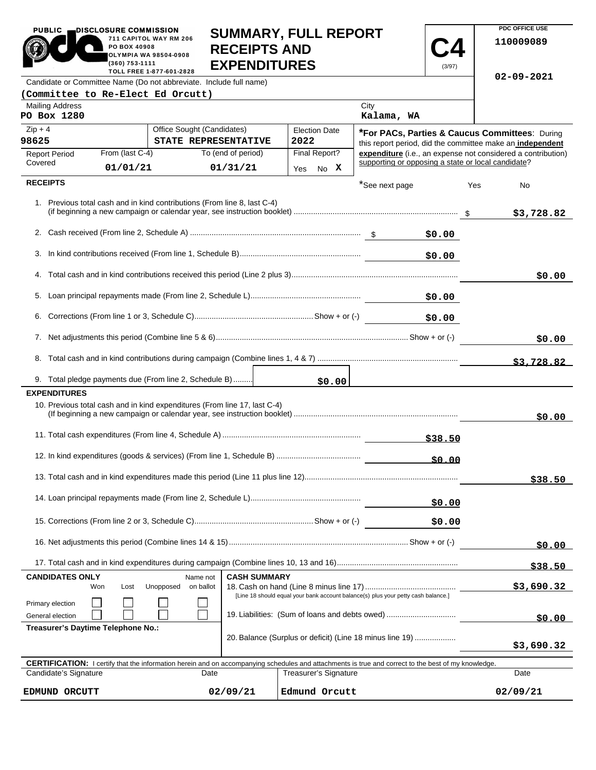|                                                                                                                                                                                         | PO BOX 40908<br>(360) 753-1111 | 711 CAPITOL WAY RM 206<br><b>RECEIPTS AND</b><br>OLYMPIA WA 98504-0908<br><b>EXPENDITURES</b><br>TOLL FREE 1-877-601-2828 |                                |                              |                                                    | (3/97)       |            | 110009089                                                    |
|-----------------------------------------------------------------------------------------------------------------------------------------------------------------------------------------|--------------------------------|---------------------------------------------------------------------------------------------------------------------------|--------------------------------|------------------------------|----------------------------------------------------|--------------|------------|--------------------------------------------------------------|
|                                                                                                                                                                                         |                                | Candidate or Committee Name (Do not abbreviate. Include full name)                                                        |                                |                              |                                                    |              |            | $02 - 09 - 2021$                                             |
| (Committee to Re-Elect Ed Orcutt)                                                                                                                                                       |                                |                                                                                                                           |                                |                              |                                                    |              |            |                                                              |
| <b>Mailing Address</b><br>PO Box 1280                                                                                                                                                   |                                |                                                                                                                           |                                |                              | City<br>Kalama, WA                                 |              |            |                                                              |
| $Zip + 4$                                                                                                                                                                               |                                | Office Sought (Candidates)                                                                                                |                                | <b>Election Date</b>         |                                                    |              |            | *For PACs, Parties & Caucus Committees: During               |
| 98625                                                                                                                                                                                   |                                | STATE REPRESENTATIVE                                                                                                      |                                | 2022                         |                                                    |              |            | this report period, did the committee make an independent    |
| <b>Report Period</b><br>Covered                                                                                                                                                         | From (last C-4)<br>01/01/21    |                                                                                                                           | To (end of period)<br>01/31/21 | Final Report?<br>No X<br>Yes | supporting or opposing a state or local candidate? |              |            | expenditure (i.e., an expense not considered a contribution) |
| <b>RECEIPTS</b>                                                                                                                                                                         |                                |                                                                                                                           |                                |                              | *See next page                                     |              | Yes        | No                                                           |
|                                                                                                                                                                                         |                                | 1. Previous total cash and in kind contributions (From line 8, last C-4)                                                  |                                |                              |                                                    |              |            | \$3,728.82                                                   |
|                                                                                                                                                                                         |                                |                                                                                                                           |                                |                              |                                                    | \$0.00       |            |                                                              |
|                                                                                                                                                                                         |                                |                                                                                                                           |                                |                              |                                                    | \$0.00       |            |                                                              |
|                                                                                                                                                                                         |                                |                                                                                                                           |                                |                              |                                                    |              |            | \$0.00                                                       |
|                                                                                                                                                                                         |                                |                                                                                                                           |                                |                              |                                                    |              |            |                                                              |
|                                                                                                                                                                                         |                                |                                                                                                                           |                                |                              |                                                    | \$0.00       |            |                                                              |
|                                                                                                                                                                                         |                                |                                                                                                                           |                                |                              |                                                    |              | \$0.00     |                                                              |
|                                                                                                                                                                                         |                                |                                                                                                                           |                                |                              |                                                    |              |            | \$3,728.82                                                   |
|                                                                                                                                                                                         |                                | 9. Total pledge payments due (From line 2, Schedule B)                                                                    |                                | \$0.00                       |                                                    |              |            |                                                              |
| <b>EXPENDITURES</b>                                                                                                                                                                     |                                |                                                                                                                           |                                |                              |                                                    |              |            |                                                              |
|                                                                                                                                                                                         |                                | 10. Previous total cash and in kind expenditures (From line 17, last C-4)                                                 |                                |                              |                                                    |              |            | \$0.00                                                       |
|                                                                                                                                                                                         |                                |                                                                                                                           |                                |                              |                                                    | \$38.50      |            |                                                              |
|                                                                                                                                                                                         |                                |                                                                                                                           |                                |                              |                                                    | <u>50.00</u> |            |                                                              |
|                                                                                                                                                                                         |                                |                                                                                                                           |                                |                              |                                                    |              |            | \$38.50                                                      |
|                                                                                                                                                                                         |                                | \$0.00                                                                                                                    |                                |                              |                                                    |              |            |                                                              |
|                                                                                                                                                                                         |                                |                                                                                                                           |                                |                              |                                                    | \$0.00       |            |                                                              |
|                                                                                                                                                                                         |                                |                                                                                                                           |                                |                              |                                                    |              |            | \$0.00                                                       |
|                                                                                                                                                                                         |                                |                                                                                                                           |                                |                              |                                                    |              |            | \$38.50                                                      |
| <b>CANDIDATES ONLY</b><br><b>CASH SUMMARY</b><br>Name not<br>Unopposed<br>on ballot<br>Won<br>Lost<br>[Line 18 should equal your bank account balance(s) plus your petty cash balance.] |                                |                                                                                                                           |                                |                              |                                                    | \$3,690.32   |            |                                                              |
| Primary election<br>19. Liabilities: (Sum of loans and debts owed)<br>General election                                                                                                  |                                |                                                                                                                           |                                |                              |                                                    |              | \$0.00     |                                                              |
| Treasurer's Daytime Telephone No.:<br>20. Balance (Surplus or deficit) (Line 18 minus line 19)                                                                                          |                                |                                                                                                                           |                                |                              |                                                    |              | \$3,690.32 |                                                              |
| <b>CERTIFICATION:</b> I certify that the information herein and on accompanying schedules and attachments is true and correct to the best of my knowledge.                              |                                |                                                                                                                           |                                |                              |                                                    |              |            |                                                              |
| Candidate's Signature<br><b>Treasurer's Signature</b><br>Date<br>Date                                                                                                                   |                                |                                                                                                                           |                                |                              |                                                    |              |            |                                                              |

**EDMUND ORCUTT 02/09/21 Edmund Orcutt 02/09/21**

**SUMMARY, FULL REPORT** 

 $\overline{\phantom{a}}$ 

**PDC OFFICE USE** 

 $02/09/21$ 

PUBLIC **DISCLOSURE COMMISSION** 

711 CAPITOL WAY RM 206